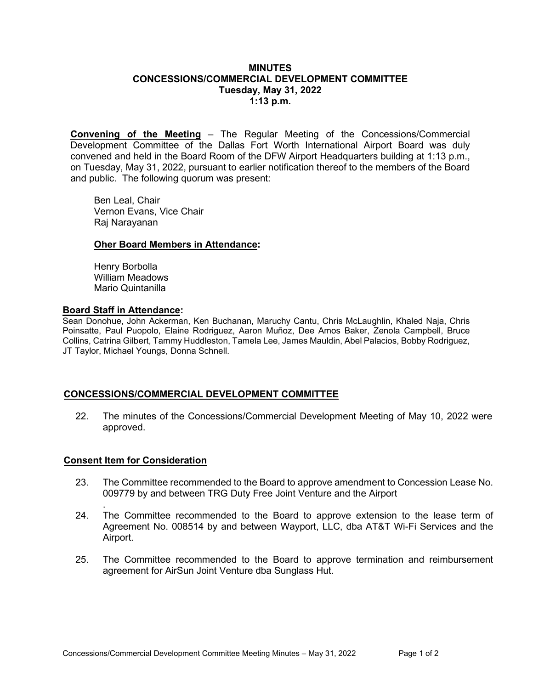### **MINUTES CONCESSIONS/COMMERCIAL DEVELOPMENT COMMITTEE Tuesday, May 31, 2022 1:13 p.m.**

**Convening of the Meeting** – The Regular Meeting of the Concessions/Commercial Development Committee of the Dallas Fort Worth International Airport Board was duly convened and held in the Board Room of the DFW Airport Headquarters building at 1:13 p.m., on Tuesday, May 31, 2022, pursuant to earlier notification thereof to the members of the Board and public. The following quorum was present:

Ben Leal, Chair Vernon Evans, Vice Chair Raj Narayanan

### **Oher Board Members in Attendance:**

Henry Borbolla William Meadows Mario Quintanilla

### **Board Staff in Attendance:**

Sean Donohue, John Ackerman, Ken Buchanan, Maruchy Cantu, Chris McLaughlin, Khaled Naja, Chris Poinsatte, Paul Puopolo, Elaine Rodriguez, Aaron Muñoz, Dee Amos Baker, Zenola Campbell, Bruce Collins, Catrina Gilbert, Tammy Huddleston, Tamela Lee, James Mauldin, Abel Palacios, Bobby Rodriguez, JT Taylor, Michael Youngs, Donna Schnell.

# **CONCESSIONS/COMMERCIAL DEVELOPMENT COMMITTEE**

22. The minutes of the Concessions/Commercial Development Meeting of May 10, 2022 were approved.

#### **Consent Item for Consideration**

- 23. The Committee recommended to the Board to approve amendment to Concession Lease No. 009779 by and between TRG Duty Free Joint Venture and the Airport
- . 24. The Committee recommended to the Board to approve extension to the lease term of Agreement No. 008514 by and between Wayport, LLC, dba AT&T Wi-Fi Services and the Airport.
- 25. The Committee recommended to the Board to approve termination and reimbursement agreement for AirSun Joint Venture dba Sunglass Hut.